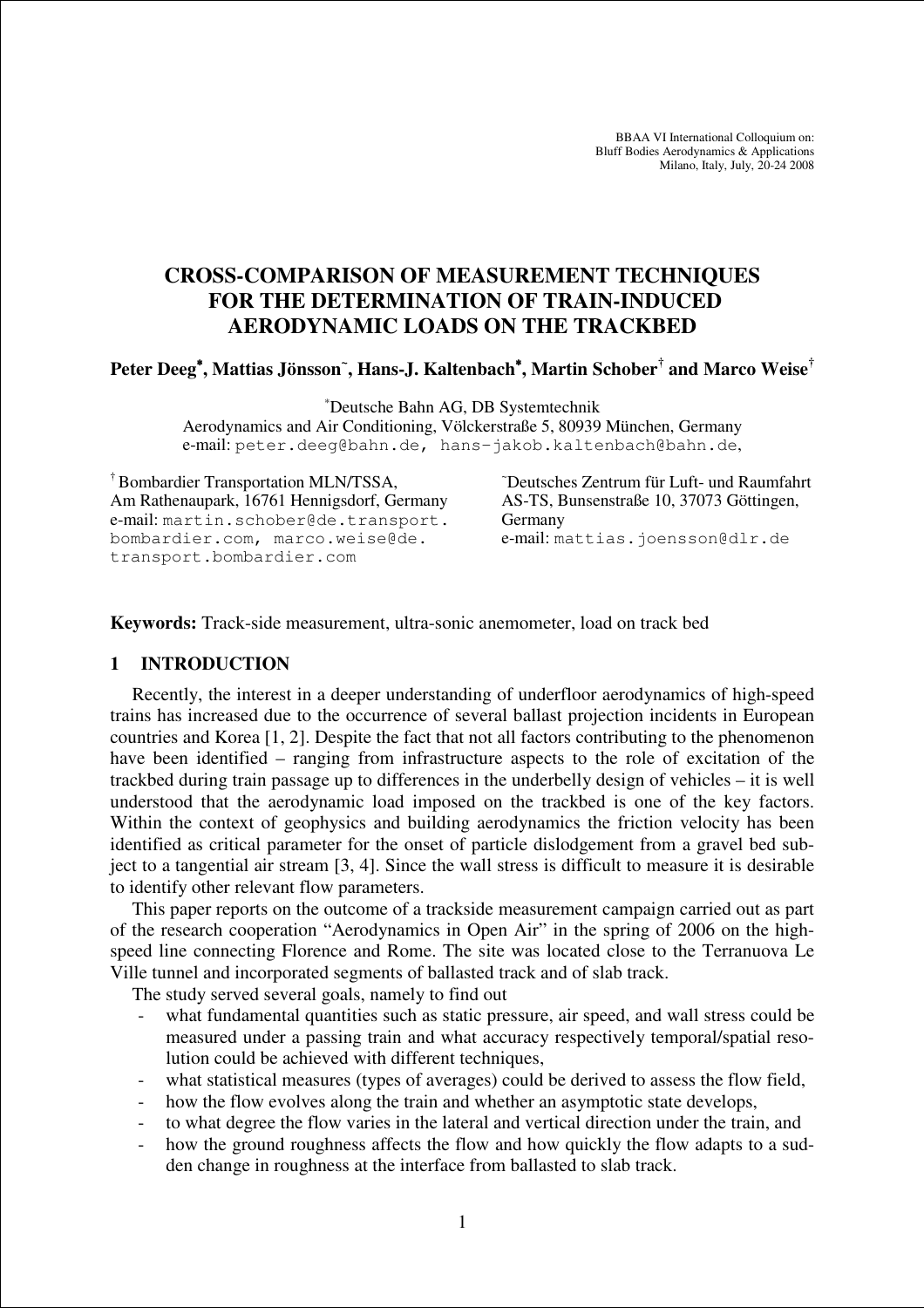BBAA VI International Colloquium on: Bluff Bodies Aerodynamics & Applications Milano, Italy, July, 20-24 2008

# **CROSS-COMPARISON OF MEASUREMENT TECHNIQUES FOR THE DETERMINATION OF TRAIN-INDUCED AERODYNAMIC LOADS ON THE TRACKBED**

## **Peter Deeg**<sup>∗</sup>**, Mattias Jönsson<sup>~</sup> , Hans-J. Kaltenbach**<sup>∗</sup>**, Martin Schober† and Marco Weise†**

<sup>∗</sup>Deutsche Bahn AG, DB Systemtechnik

Aerodynamics and Air Conditioning, Völckerstraße 5, 80939 München, Germany e-mail: peter.deeg@bahn.de, hans-jakob.kaltenbach@bahn.de,

† Bombardier Transportation MLN/TSSA, <sup>~</sup>Deutsches Zentrum für Luft- und Raumfahrt Am Rathenaupark, 16761 Hennigsdorf, Germany AS-TS, Bunsenstraße 10, 37073 Göttingen, e-mail: martin.schober@de.transport. Germany bombardier.com, marco.weise@de. e-mail: mattias.joensson@dlr.de transport.bombardier.com

**Keywords:** Track-side measurement, ultra-sonic anemometer, load on track bed

#### **1 INTRODUCTION**

Recently, the interest in a deeper understanding of underfloor aerodynamics of high-speed trains has increased due to the occurrence of several ballast projection incidents in European countries and Korea [1, 2]. Despite the fact that not all factors contributing to the phenomenon have been identified – ranging from infrastructure aspects to the role of excitation of the trackbed during train passage up to differences in the underbelly design of vehicles – it is well understood that the aerodynamic load imposed on the trackbed is one of the key factors. Within the context of geophysics and building aerodynamics the friction velocity has been identified as critical parameter for the onset of particle dislodgement from a gravel bed subject to a tangential air stream [3, 4]. Since the wall stress is difficult to measure it is desirable to identify other relevant flow parameters.

This paper reports on the outcome of a trackside measurement campaign carried out as part of the research cooperation "Aerodynamics in Open Air" in the spring of 2006 on the highspeed line connecting Florence and Rome. The site was located close to the Terranuova Le Ville tunnel and incorporated segments of ballasted track and of slab track.

The study served several goals, namely to find out

- what fundamental quantities such as static pressure, air speed, and wall stress could be measured under a passing train and what accuracy respectively temporal/spatial resolution could be achieved with different techniques,
- what statistical measures (types of averages) could be derived to assess the flow field,
- how the flow evolves along the train and whether an asymptotic state develops,
- to what degree the flow varies in the lateral and vertical direction under the train, and
- how the ground roughness affects the flow and how quickly the flow adapts to a sudden change in roughness at the interface from ballasted to slab track.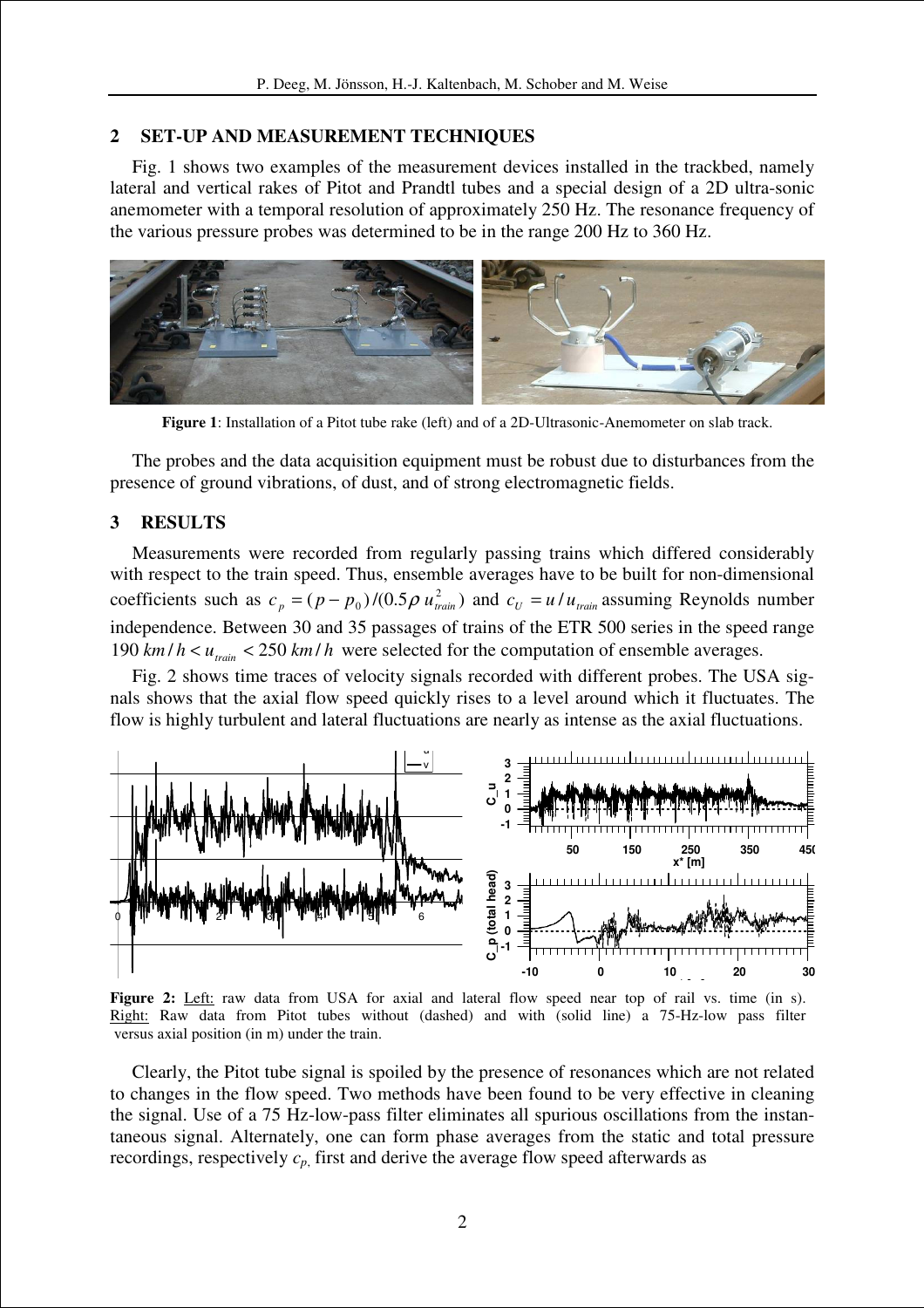#### **2 SET-UP AND MEASUREMENT TECHNIQUES**

Fig. 1 shows two examples of the measurement devices installed in the trackbed, namely lateral and vertical rakes of Pitot and Prandtl tubes and a special design of a 2D ultra-sonic anemometer with a temporal resolution of approximately 250 Hz. The resonance frequency of the various pressure probes was determined to be in the range 200 Hz to 360 Hz.



**Figure 1**: Installation of a Pitot tube rake (left) and of a 2D-Ultrasonic-Anemometer on slab track.

The probes and the data acquisition equipment must be robust due to disturbances from the presence of ground vibrations, of dust, and of strong electromagnetic fields.

### **3 RESULTS**

Measurements were recorded from regularly passing trains which differed considerably with respect to the train speed. Thus, ensemble averages have to be built for non-dimensional coefficients such as  $c_p = (p - p_0)/(0.5 \rho u_{\text{train}}^2)$  and  $c_U = u/u_{\text{train}}$  assuming Reynolds number independence. Between 30 and 35 passages of trains of the ETR 500 series in the speed range 190  $km/h < u_{\text{train}} < 250$  km/h were selected for the computation of ensemble averages.

Fig. 2 shows time traces of velocity signals recorded with different probes. The USA signals shows that the axial flow speed quickly rises to a level around which it fluctuates. The flow is highly turbulent and lateral fluctuations are nearly as intense as the axial fluctuations.



**Figure 2:** Left: raw data from USA for axial and lateral flow speed near top of rail vs. time (in s). Right: Raw data from Pitot tubes without (dashed) and with (solid line) a 75-Hz-low pass filter versus axial position (in m) under the train.

Clearly, the Pitot tube signal is spoiled by the presence of resonances which are not related to changes in the flow speed. Two methods have been found to be very effective in cleaning the signal. Use of a 75 Hz-low-pass filter eliminates all spurious oscillations from the instantaneous signal. Alternately, one can form phase averages from the static and total pressure recordings, respectively  $c_p$ , first and derive the average flow speed afterwards as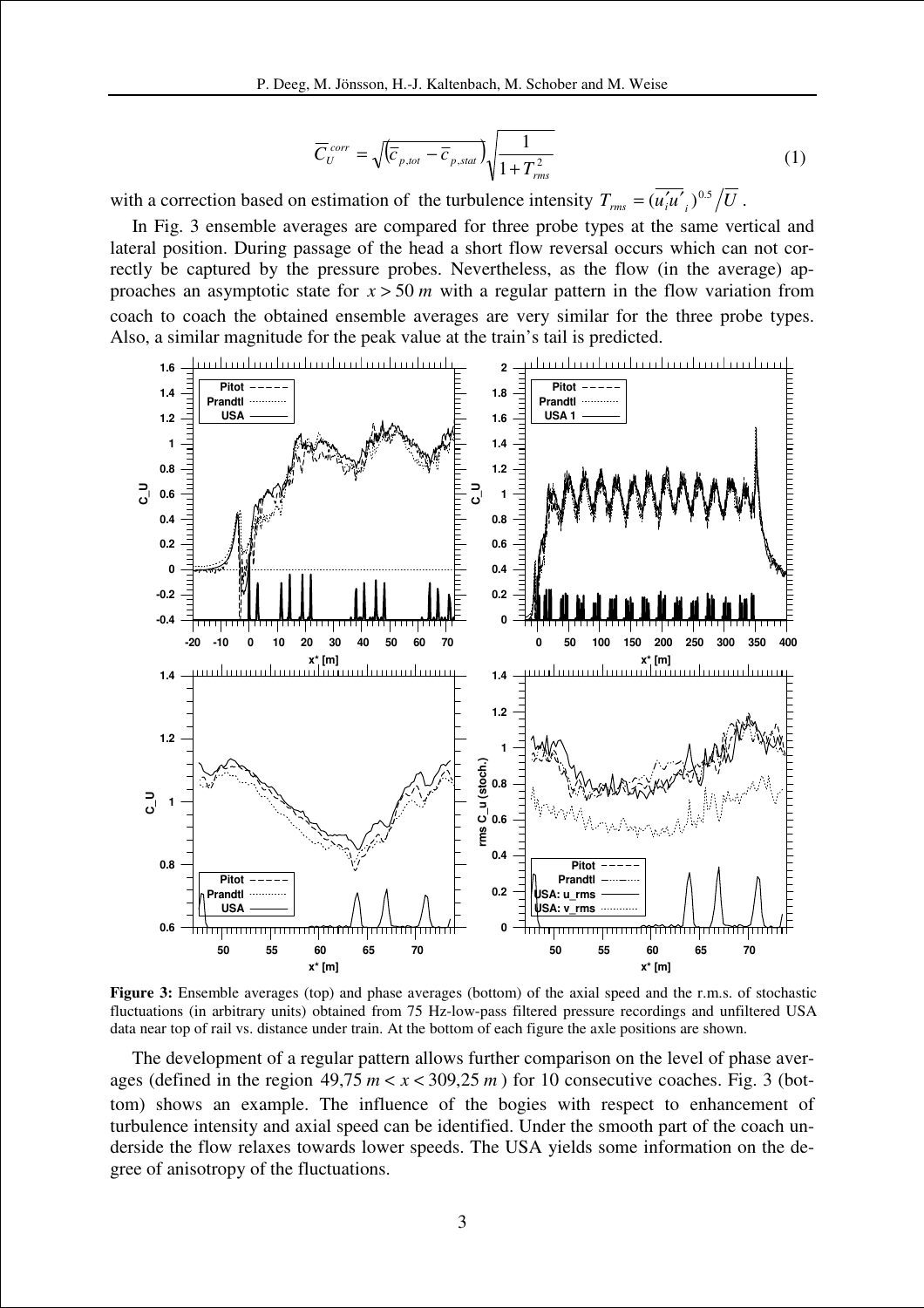$$
\overline{C}_{U}^{corr} = \sqrt{\left(\overline{C}_{p,tot} - \overline{C}_{p,stat}\right)} \sqrt{\frac{1}{1 + T_{rms}^{2}}}
$$
\n(1)

with a correction based on estimation of the turbulence intensity  $T_{rms} = (u'_i u'_i)^{0.5}/U$ .

In Fig. 3 ensemble averages are compared for three probe types at the same vertical and lateral position. During passage of the head a short flow reversal occurs which can not correctly be captured by the pressure probes. Nevertheless, as the flow (in the average) approaches an asymptotic state for  $x > 50$  *m* with a regular pattern in the flow variation from coach to coach the obtained ensemble averages are very similar for the three probe types. Also, a similar magnitude for the peak value at the train's tail is predicted.



**Figure 3:** Ensemble averages (top) and phase averages (bottom) of the axial speed and the r.m.s. of stochastic fluctuations (in arbitrary units) obtained from 75 Hz-low-pass filtered pressure recordings and unfiltered USA data near top of rail vs. distance under train. At the bottom of each figure the axle positions are shown.

The development of a regular pattern allows further comparison on the level of phase averages (defined in the region  $49.75$   $m < x < 309.25$  m) for 10 consecutive coaches. Fig. 3 (bottom) shows an example. The influence of the bogies with respect to enhancement of turbulence intensity and axial speed can be identified. Under the smooth part of the coach underside the flow relaxes towards lower speeds. The USA yields some information on the degree of anisotropy of the fluctuations.